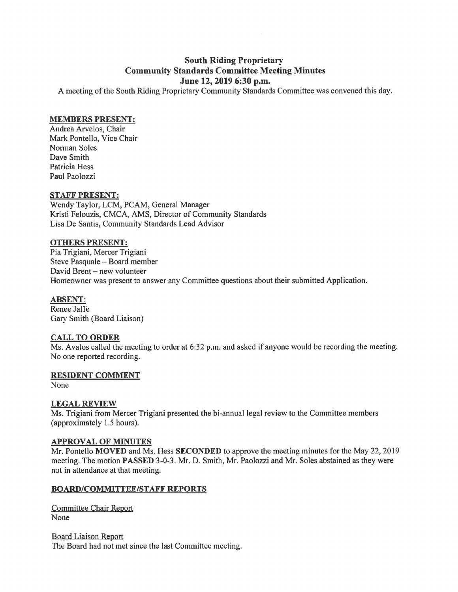# **South Riding Proprietary Community Standards Committee Meeting Minutes June 12, 2019 6:30 p.m.**

A meeting of the South Riding Proprietary Community Standards Committee was convened this day.

### **MEMBERS PRESENT:**

Andrea Arvelos, Chair Mark Pontello, Vice Chair Norman Soles Dave Smith Patricia Hess Paul Paolozzi

### **STAFF PRESENT:**

Wendy Taylor, LCM, PCAM, General Manager Kristi Felouzis, CMCA, AMS, Director of Community Standards Lisa De Santis, Community Standards Lead Advisor

#### **OTHERS PRESENT:**

Pia Trigiani, Mercer Trigiani Steve Pasquale - Board member David Brent - new volunteer Homeowner was present to answer any Committee questions about their submitted Application.

## **ABSENT:**

Renee Jaffe Gary Smith (Board Liaison)

#### **CALL TO ORDER**

Ms. Avalos called the meeting to order at 6:32 p.m. and asked if anyone would be recording the meeting. No one reported recording.

#### **RESIDENT COMMENT**

None

#### **LEGAL REVIEW**

Ms. Trigiani from Mercer Trigiani presented the bi-annual legal review to the Committee members (approximately 1.5 hours).

#### **APPROVAL OF MINUTES**

Mr. Pontello **MOVED** and Ms. Hess **SECONDED** to approve the meeting minutes for the May 22, 2019 meeting. The motion **PASSED** 3-0-3. Mr. D. Smith, Mr. Paolozzi and Mr. Soles abstained as they were not in attendance at that meeting.

#### **BOARD/COMMITTEE/STAFF REPORTS**

Committee Chair Report None

Board Liaison Report The Board had not met since the last Committee meeting.